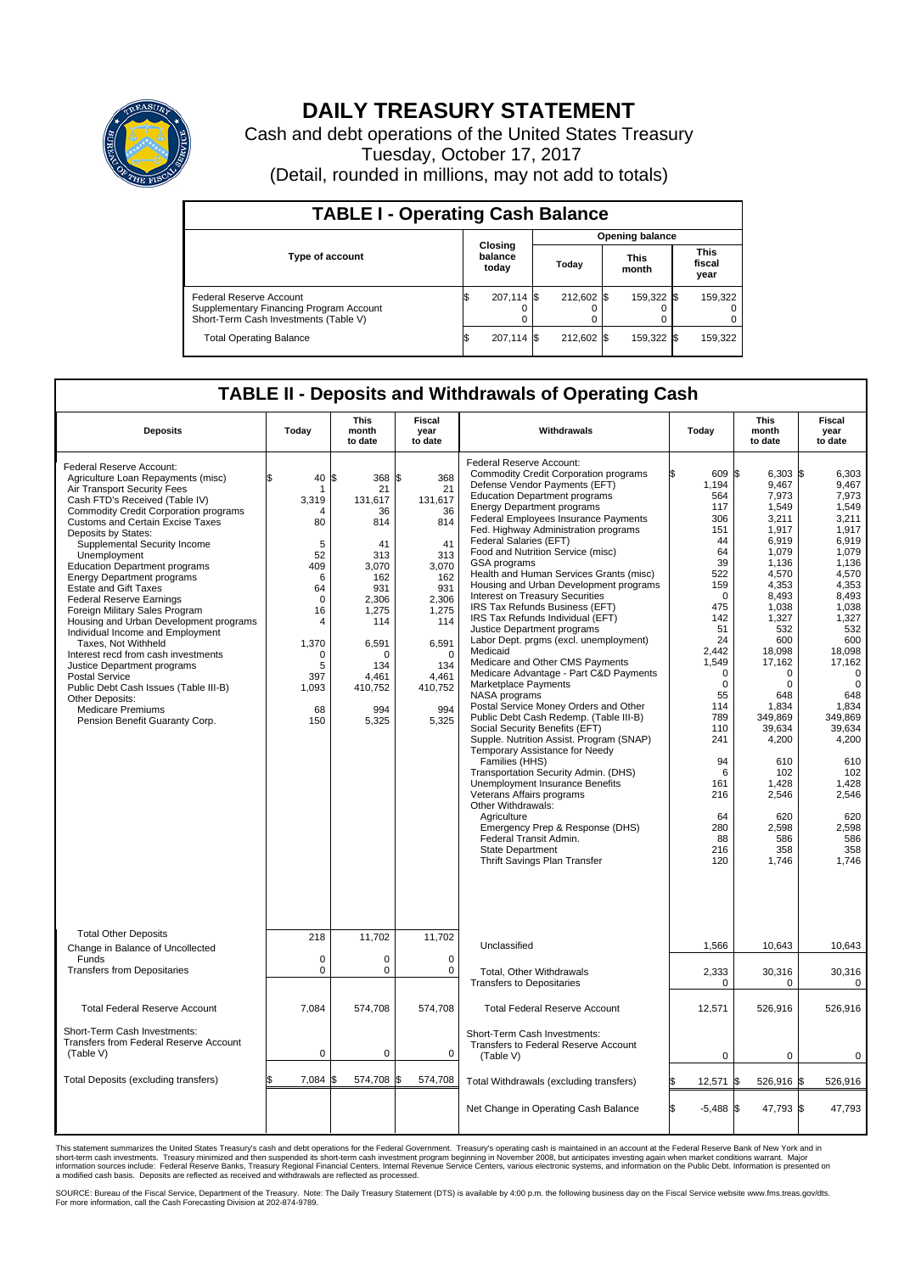

## **DAILY TREASURY STATEMENT**

Cash and debt operations of the United States Treasury Tuesday, October 17, 2017 (Detail, rounded in millions, may not add to totals)

| <b>TABLE I - Operating Cash Balance</b>                                                                     |    |                             |       |                        |                      |            |                               |         |  |  |  |
|-------------------------------------------------------------------------------------------------------------|----|-----------------------------|-------|------------------------|----------------------|------------|-------------------------------|---------|--|--|--|
|                                                                                                             |    |                             |       | <b>Opening balance</b> |                      |            |                               |         |  |  |  |
| <b>Type of account</b>                                                                                      |    | Closing<br>balance<br>today | Today |                        | <b>This</b><br>month |            | <b>This</b><br>fiscal<br>year |         |  |  |  |
| Federal Reserve Account<br>Supplementary Financing Program Account<br>Short-Term Cash Investments (Table V) |    | 207,114 \$                  |       | 212.602 \$             |                      | 159,322 \$ |                               | 159,322 |  |  |  |
| <b>Total Operating Balance</b>                                                                              | IЭ | 207,114 \$                  |       | 212.602 \$             |                      | 159,322 \$ |                               | 159,322 |  |  |  |

## **TABLE II - Deposits and Withdrawals of Operating Cash**

| <b>Deposits</b>                                                                                                                                                                                                                                                                                                                                                                                                                                                                                                                                                                                                                                                                                                                                                                                                   | Today                                                                                                                                                         | <b>This</b><br>month<br>to date                                                                                                                                   | <b>Fiscal</b><br>year<br>to date                                                                                                                               | Withdrawals                                                                                                                                                                                                                                                                                                                                                                                                                                                                                                                                                                                                                                                                                                                                                                                                                                                                                                                                                                                                                                                                                                                                                                                                                                                     |    | Today                                                                                                                                                                                                                                                            | <b>This</b><br>month<br>to date                                                                                                                                                                                                                                                                            | <b>Fiscal</b><br>year<br>to date                                                                                                                                                                                                                                                                                |
|-------------------------------------------------------------------------------------------------------------------------------------------------------------------------------------------------------------------------------------------------------------------------------------------------------------------------------------------------------------------------------------------------------------------------------------------------------------------------------------------------------------------------------------------------------------------------------------------------------------------------------------------------------------------------------------------------------------------------------------------------------------------------------------------------------------------|---------------------------------------------------------------------------------------------------------------------------------------------------------------|-------------------------------------------------------------------------------------------------------------------------------------------------------------------|----------------------------------------------------------------------------------------------------------------------------------------------------------------|-----------------------------------------------------------------------------------------------------------------------------------------------------------------------------------------------------------------------------------------------------------------------------------------------------------------------------------------------------------------------------------------------------------------------------------------------------------------------------------------------------------------------------------------------------------------------------------------------------------------------------------------------------------------------------------------------------------------------------------------------------------------------------------------------------------------------------------------------------------------------------------------------------------------------------------------------------------------------------------------------------------------------------------------------------------------------------------------------------------------------------------------------------------------------------------------------------------------------------------------------------------------|----|------------------------------------------------------------------------------------------------------------------------------------------------------------------------------------------------------------------------------------------------------------------|------------------------------------------------------------------------------------------------------------------------------------------------------------------------------------------------------------------------------------------------------------------------------------------------------------|-----------------------------------------------------------------------------------------------------------------------------------------------------------------------------------------------------------------------------------------------------------------------------------------------------------------|
| Federal Reserve Account:<br>Agriculture Loan Repayments (misc)<br>Air Transport Security Fees<br>Cash FTD's Received (Table IV)<br><b>Commodity Credit Corporation programs</b><br><b>Customs and Certain Excise Taxes</b><br>Deposits by States:<br>Supplemental Security Income<br>Unemployment<br><b>Education Department programs</b><br><b>Energy Department programs</b><br><b>Estate and Gift Taxes</b><br><b>Federal Reserve Earnings</b><br>Foreign Military Sales Program<br>Housing and Urban Development programs<br>Individual Income and Employment<br>Taxes. Not Withheld<br>Interest recd from cash investments<br>Justice Department programs<br><b>Postal Service</b><br>Public Debt Cash Issues (Table III-B)<br>Other Deposits:<br><b>Medicare Premiums</b><br>Pension Benefit Guaranty Corp. | \$<br>40<br>-1<br>3,319<br>$\overline{4}$<br>80<br>5<br>52<br>409<br>6<br>64<br>$\mathbf 0$<br>16<br>4<br>1,370<br>$\Omega$<br>5<br>397<br>1,093<br>68<br>150 | 368 \$<br>l\$<br>21<br>131,617<br>36<br>814<br>41<br>313<br>3,070<br>162<br>931<br>2,306<br>1,275<br>114<br>6,591<br>O<br>134<br>4.461<br>410,752<br>994<br>5,325 | 368<br>21<br>131,617<br>36<br>814<br>41<br>313<br>3,070<br>162<br>931<br>2,306<br>1,275<br>114<br>6,591<br>$\Omega$<br>134<br>4.461<br>410,752<br>994<br>5,325 | Federal Reserve Account:<br><b>Commodity Credit Corporation programs</b><br>Defense Vendor Payments (EFT)<br><b>Education Department programs</b><br><b>Energy Department programs</b><br><b>Federal Employees Insurance Payments</b><br>Fed. Highway Administration programs<br>Federal Salaries (EFT)<br>Food and Nutrition Service (misc)<br>GSA programs<br>Health and Human Services Grants (misc)<br>Housing and Urban Development programs<br>Interest on Treasury Securities<br>IRS Tax Refunds Business (EFT)<br>IRS Tax Refunds Individual (EFT)<br>Justice Department programs<br>Labor Dept. prgms (excl. unemployment)<br>Medicaid<br>Medicare and Other CMS Payments<br>Medicare Advantage - Part C&D Payments<br>Marketplace Payments<br>NASA programs<br>Postal Service Money Orders and Other<br>Public Debt Cash Redemp. (Table III-B)<br>Social Security Benefits (EFT)<br>Supple. Nutrition Assist. Program (SNAP)<br>Temporary Assistance for Needy<br>Families (HHS)<br>Transportation Security Admin. (DHS)<br>Unemployment Insurance Benefits<br>Veterans Affairs programs<br>Other Withdrawals:<br>Agriculture<br>Emergency Prep & Response (DHS)<br>Federal Transit Admin.<br><b>State Department</b><br>Thrift Savings Plan Transfer |    | 609 \$<br>1,194<br>564<br>117<br>306<br>151<br>44<br>64<br>39<br>522<br>159<br>$\mathbf 0$<br>475<br>142<br>51<br>24<br>2.442<br>1.549<br>$\mathbf 0$<br>$\mathbf 0$<br>55<br>114<br>789<br>110<br>241<br>94<br>6<br>161<br>216<br>64<br>280<br>88<br>216<br>120 | $6,303$ \$<br>9.467<br>7.973<br>1,549<br>3,211<br>1,917<br>6.919<br>1,079<br>1,136<br>4,570<br>4,353<br>8,493<br>1,038<br>1,327<br>532<br>600<br>18,098<br>17.162<br>0<br>$\mathbf 0$<br>648<br>1,834<br>349,869<br>39,634<br>4,200<br>610<br>102<br>1,428<br>2,546<br>620<br>2,598<br>586<br>358<br>1,746 | 6,303<br>9,467<br>7.973<br>1,549<br>3,211<br>1,917<br>6.919<br>1,079<br>1,136<br>4,570<br>4,353<br>8,493<br>1,038<br>1,327<br>532<br>600<br>18,098<br>17.162<br>$\mathbf 0$<br>$\mathbf 0$<br>648<br>1,834<br>349.869<br>39,634<br>4,200<br>610<br>102<br>1,428<br>2.546<br>620<br>2,598<br>586<br>358<br>1,746 |
| <b>Total Other Deposits</b><br>Change in Balance of Uncollected                                                                                                                                                                                                                                                                                                                                                                                                                                                                                                                                                                                                                                                                                                                                                   | 218                                                                                                                                                           | 11,702                                                                                                                                                            | 11,702                                                                                                                                                         | Unclassified                                                                                                                                                                                                                                                                                                                                                                                                                                                                                                                                                                                                                                                                                                                                                                                                                                                                                                                                                                                                                                                                                                                                                                                                                                                    |    | 1,566                                                                                                                                                                                                                                                            | 10,643                                                                                                                                                                                                                                                                                                     | 10,643                                                                                                                                                                                                                                                                                                          |
| Funds<br><b>Transfers from Depositaries</b>                                                                                                                                                                                                                                                                                                                                                                                                                                                                                                                                                                                                                                                                                                                                                                       | $\mathbf 0$<br>0                                                                                                                                              | 0<br>0                                                                                                                                                            | $\mathbf 0$<br>0                                                                                                                                               | Total, Other Withdrawals<br><b>Transfers to Depositaries</b>                                                                                                                                                                                                                                                                                                                                                                                                                                                                                                                                                                                                                                                                                                                                                                                                                                                                                                                                                                                                                                                                                                                                                                                                    |    | 2,333<br>$\mathbf 0$                                                                                                                                                                                                                                             | 30,316<br>0                                                                                                                                                                                                                                                                                                | 30,316<br>$\mathbf 0$                                                                                                                                                                                                                                                                                           |
| <b>Total Federal Reserve Account</b>                                                                                                                                                                                                                                                                                                                                                                                                                                                                                                                                                                                                                                                                                                                                                                              | 7,084                                                                                                                                                         | 574,708                                                                                                                                                           | 574,708                                                                                                                                                        | <b>Total Federal Reserve Account</b>                                                                                                                                                                                                                                                                                                                                                                                                                                                                                                                                                                                                                                                                                                                                                                                                                                                                                                                                                                                                                                                                                                                                                                                                                            |    | 12,571                                                                                                                                                                                                                                                           | 526,916                                                                                                                                                                                                                                                                                                    | 526,916                                                                                                                                                                                                                                                                                                         |
| Short-Term Cash Investments:<br>Transfers from Federal Reserve Account<br>(Table V)                                                                                                                                                                                                                                                                                                                                                                                                                                                                                                                                                                                                                                                                                                                               | $\pmb{0}$                                                                                                                                                     | 0                                                                                                                                                                 | $\mathbf 0$                                                                                                                                                    | Short-Term Cash Investments:<br>Transfers to Federal Reserve Account<br>(Table V)                                                                                                                                                                                                                                                                                                                                                                                                                                                                                                                                                                                                                                                                                                                                                                                                                                                                                                                                                                                                                                                                                                                                                                               |    | 0                                                                                                                                                                                                                                                                | $\mathbf 0$                                                                                                                                                                                                                                                                                                | $\mathbf 0$                                                                                                                                                                                                                                                                                                     |
| Total Deposits (excluding transfers)                                                                                                                                                                                                                                                                                                                                                                                                                                                                                                                                                                                                                                                                                                                                                                              | 7,084                                                                                                                                                         | 574,708 \$                                                                                                                                                        | 574,708                                                                                                                                                        | Total Withdrawals (excluding transfers)                                                                                                                                                                                                                                                                                                                                                                                                                                                                                                                                                                                                                                                                                                                                                                                                                                                                                                                                                                                                                                                                                                                                                                                                                         | ß. | 12,571                                                                                                                                                                                                                                                           | 526,916 \$<br>1\$                                                                                                                                                                                                                                                                                          | 526,916                                                                                                                                                                                                                                                                                                         |
|                                                                                                                                                                                                                                                                                                                                                                                                                                                                                                                                                                                                                                                                                                                                                                                                                   |                                                                                                                                                               |                                                                                                                                                                   |                                                                                                                                                                | Net Change in Operating Cash Balance                                                                                                                                                                                                                                                                                                                                                                                                                                                                                                                                                                                                                                                                                                                                                                                                                                                                                                                                                                                                                                                                                                                                                                                                                            | Ŝ. | $-5,488$ \$                                                                                                                                                                                                                                                      | 47,793 \$                                                                                                                                                                                                                                                                                                  | 47,793                                                                                                                                                                                                                                                                                                          |

This statement summarizes the United States Treasury's cash and debt operations for the Federal Government. Treasury's operating cash is maintained in an account at the Federal Reserve Bank of New York and in<br>short-term ca

SOURCE: Bureau of the Fiscal Service, Department of the Treasury. Note: The Daily Treasury Statement (DTS) is available by 4:00 p.m. the following business day on the Fiscal Service website www.fms.treas.gov/dts.<br>For more